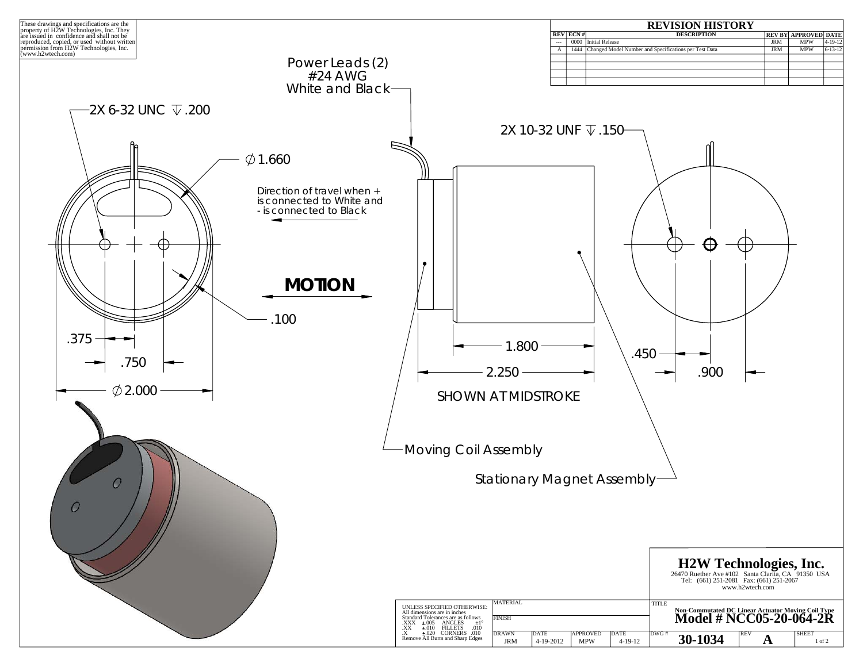